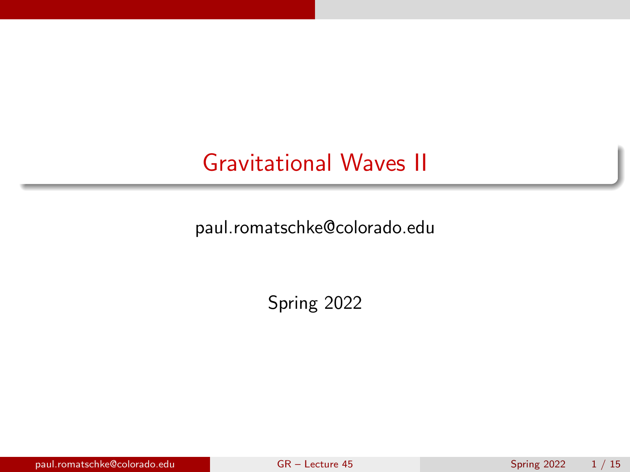# <span id="page-0-0"></span>Gravitational Waves II

paul.romatschke@colorado.edu

Spring 2022

paul.romatschke@colorado.edu [GR – Lecture 45](#page-14-0) Spring 2022 1 / 15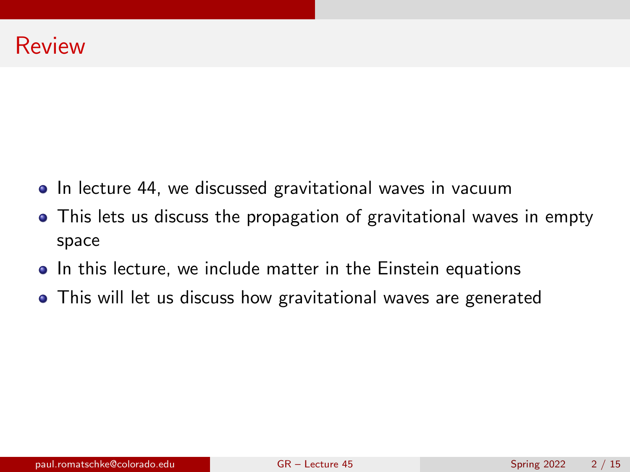- In lecture 44, we discussed gravitational waves in vacuum
- This lets us discuss the propagation of gravitational waves in empty space
- In this lecture, we include matter in the Einstein equations
- This will let us discuss how gravitational waves are generated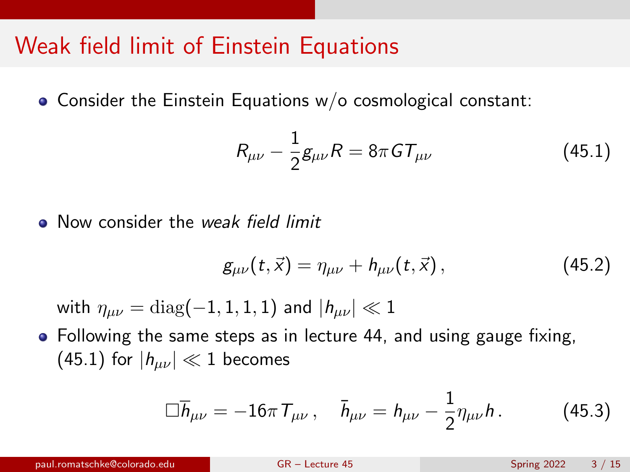# Weak field limit of Einstein Equations

Consider the Einstein Equations w/o cosmological constant:

<span id="page-2-0"></span>
$$
R_{\mu\nu} - \frac{1}{2}g_{\mu\nu}R = 8\pi GT_{\mu\nu}
$$
 (45.1)

• Now consider the *weak field limit* 

$$
g_{\mu\nu}(t,\vec{x}) = \eta_{\mu\nu} + h_{\mu\nu}(t,\vec{x}), \qquad (45.2)
$$

with  $\eta_{\mu\nu} = \text{diag}(-1, 1, 1, 1)$  and  $|h_{\mu\nu}| \ll 1$ 

• Following the same steps as in lecture 44, and using gauge fixing,  $(45.1)$  for  $|h_{\mu\nu}| \ll 1$  becomes

$$
\Box \overline{h}_{\mu\nu} = -16\pi T_{\mu\nu}, \quad \overline{h}_{\mu\nu} = h_{\mu\nu} - \frac{1}{2} \eta_{\mu\nu} h. \tag{45.3}
$$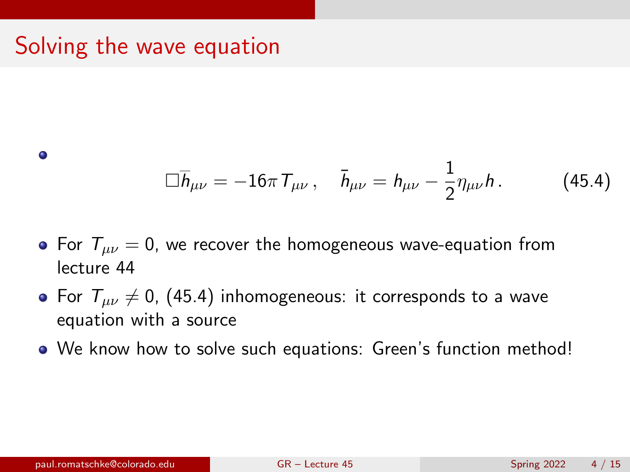# Solving the wave equation

<span id="page-3-0"></span>
$$
\Box \overline{h}_{\mu\nu} = -16\pi \, \mathcal{T}_{\mu\nu} \,, \quad \overline{h}_{\mu\nu} = h_{\mu\nu} - \frac{1}{2} \eta_{\mu\nu} h \,. \tag{45.4}
$$

- For  $T_{\mu\nu} = 0$ , we recover the homogeneous wave-equation from lecture 44
- For  $T_{\mu\nu}\neq 0$ , [\(45.4\)](#page-3-0) inhomogeneous: it corresponds to a wave equation with a source
- We know how to solve such equations: Green's function method!

 $\bullet$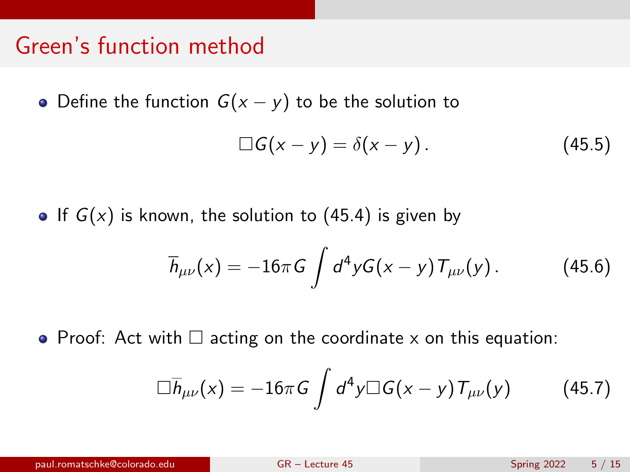## Green's function method

• Define the function  $G(x - y)$  to be the solution to

$$
\Box G(x-y)=\delta(x-y). \qquad (45.5)
$$

If  $G(x)$  is known, the solution to [\(45.4\)](#page-3-0) is given by

$$
\overline{h}_{\mu\nu}(x) = -16\pi G \int d^4 y G(x-y) T_{\mu\nu}(y).
$$
 (45.6)

• Proof: Act with  $\Box$  acting on the coordinate x on this equation:

$$
\Box \overline{h}_{\mu\nu}(x) = -16\pi G \int d^4y \Box G(x-y) T_{\mu\nu}(y) \qquad (45.7)
$$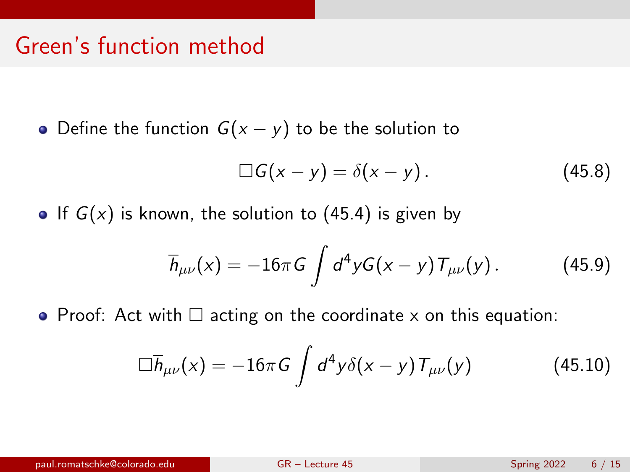## Green's function method

• Define the function  $G(x - y)$  to be the solution to

$$
\Box G(x-y)=\delta(x-y). \qquad (45.8)
$$

If  $G(x)$  is known, the solution to [\(45.4\)](#page-3-0) is given by

$$
\overline{h}_{\mu\nu}(x) = -16\pi G \int d^4 y G(x-y) T_{\mu\nu}(y). \qquad (45.9)
$$

• Proof: Act with  $\Box$  acting on the coordinate x on this equation:

$$
\Box \overline{h}_{\mu\nu}(x) = -16\pi G \int d^4y \delta(x-y) T_{\mu\nu}(y) \qquad (45.10)
$$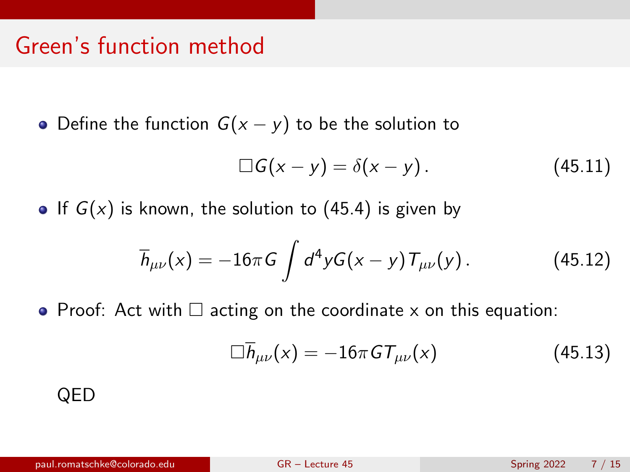## Green's function method

• Define the function  $G(x - y)$  to be the solution to

$$
\Box G(x-y)=\delta(x-y). \qquad (45.11)
$$

• If  $G(x)$  is known, the solution to [\(45.4\)](#page-3-0) is given by

$$
\overline{h}_{\mu\nu}(x) = -16\pi G \int d^4 y G(x-y) T_{\mu\nu}(y).
$$
 (45.12)

• Proof: Act with  $\Box$  acting on the coordinate x on this equation:

$$
\Box \overline{h}_{\mu\nu}(x) = -16\pi \, GT_{\mu\nu}(x) \tag{45.13}
$$

#### QED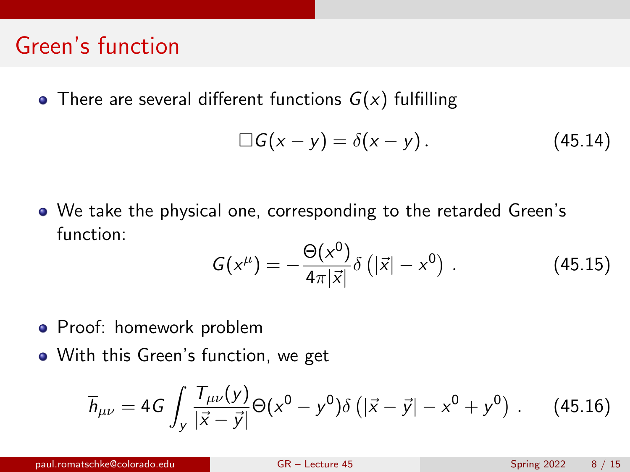## Green's function

• There are several different functions  $G(x)$  fulfilling

$$
\Box G(x-y)=\delta(x-y). \qquad (45.14)
$$

We take the physical one, corresponding to the retarded Green's function:  $\sim$ 

$$
G(x^{\mu}) = -\frac{\Theta(x^0)}{4\pi|\vec{x}|} \delta(|\vec{x}| - x^0) .
$$
 (45.15)

- **•** Proof: homework problem
- With this Green's function, we get

$$
\overline{h}_{\mu\nu} = 4G \int_{y} \frac{T_{\mu\nu}(y)}{|\vec{x} - \vec{y}|} \Theta(x^{0} - y^{0}) \delta\left(|\vec{x} - \vec{y}| - x^{0} + y^{0}\right) . \tag{45.16}
$$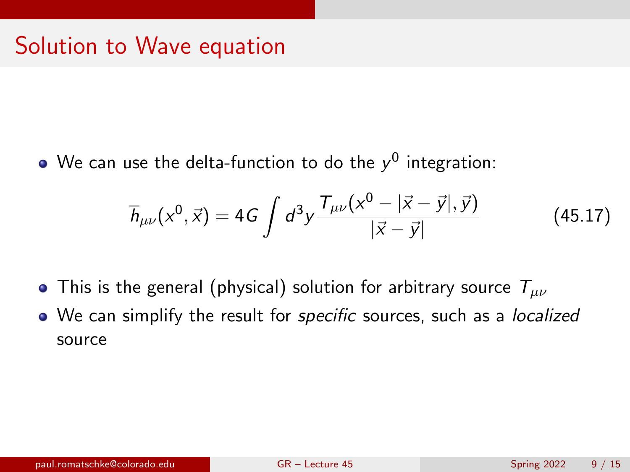#### Solution to Wave equation

We can use the delta-function to do the  $\mathsf{y}^0$  integration:

$$
\overline{h}_{\mu\nu}(x^0, \vec{x}) = 4G \int d^3y \frac{T_{\mu\nu}(x^0 - |\vec{x} - \vec{y}|, \vec{y})}{|\vec{x} - \vec{y}|}
$$
(45.17)

- This is the general (physical) solution for arbitrary source  $T_{\mu\nu}$
- We can simplify the result for *specific* sources, such as a *localized* source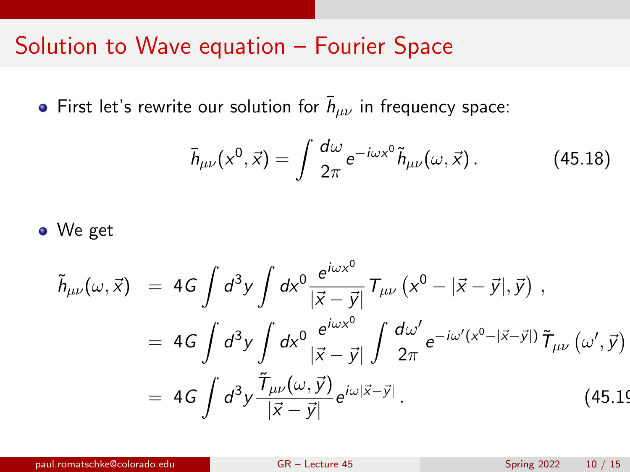#### Solution to Wave equation – Fourier Space

First let's rewrite our solution for  $\bar{h}_{\mu\nu}$  in frequency space:

$$
\bar{h}_{\mu\nu}(x^0, \vec{x}) = \int \frac{d\omega}{2\pi} e^{-i\omega x^0} \tilde{h}_{\mu\nu}(\omega, \vec{x}). \tag{45.18}
$$

• We get

$$
\tilde{h}_{\mu\nu}(\omega,\vec{x}) = 4G \int d^3y \int dx^0 \frac{e^{i\omega x^0}}{|\vec{x}-\vec{y}|} T_{\mu\nu} (x^0 - |\vec{x}-\vec{y}|, \vec{y}) ,
$$
  
\n
$$
= 4G \int d^3y \int dx^0 \frac{e^{i\omega x^0}}{|\vec{x}-\vec{y}|} \int \frac{d\omega'}{2\pi} e^{-i\omega'(x^0 - |\vec{x}-\vec{y}|)} \tilde{T}_{\mu\nu} (\omega',\vec{y})
$$
  
\n
$$
= 4G \int d^3y \frac{\tilde{T}_{\mu\nu}(\omega,\vec{y})}{|\vec{x}-\vec{y}|} e^{i\omega |\vec{x}-\vec{y}|} .
$$
(45.19)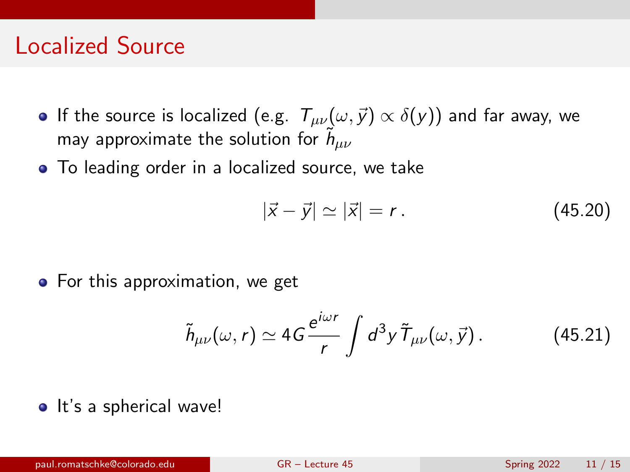#### Localized Source

- If the source is localized (e.g.  $T_{\mu\nu}(\omega, \vec{y}) \propto \delta(y)$ ) and far away, we may approximate the solution for  $\tilde{h}_{\mu\nu}$
- To leading order in a localized source, we take

$$
|\vec{x} - \vec{y}| \simeq |\vec{x}| = r. \tag{45.20}
$$

• For this approximation, we get

$$
\tilde{h}_{\mu\nu}(\omega,r) \simeq 4G \frac{e^{i\omega r}}{r} \int d^3y \,\tilde{T}_{\mu\nu}(\omega,\vec{y})\,. \tag{45.21}
$$

• It's a spherical wave!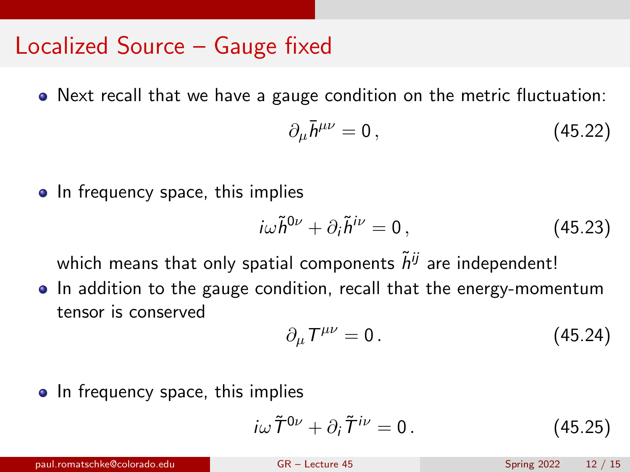#### Localized Source – Gauge fixed

• Next recall that we have a gauge condition on the metric fluctuation:

$$
\partial_{\mu}\bar{h}^{\mu\nu}=0\,,\tag{45.22}
$$

• In frequency space, this implies

$$
i\omega \tilde{h}^{0\nu} + \partial_i \tilde{h}^{i\nu} = 0, \qquad (45.23)
$$

which means that only spatial components  $\tilde{h}^{ij}$  are independent!

• In addition to the gauge condition, recall that the energy-momentum tensor is conserved

$$
\partial_{\mu}T^{\mu\nu}=0.\t\t(45.24)
$$

• In frequency space, this implies

$$
i\omega \tilde{\mathcal{T}}^{0\nu} + \partial_i \tilde{\mathcal{T}}^{i\nu} = 0. \qquad (45.25)
$$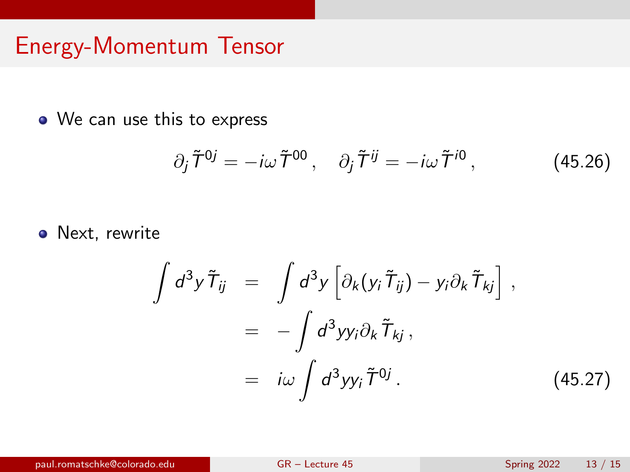# Energy-Momentum Tensor

We can use this to express

$$
\partial_j \tilde{T}^{0j} = -i\omega \tilde{T}^{00}, \quad \partial_j \tilde{T}^{ij} = -i\omega \tilde{T}^{i0}, \qquad (45.26)
$$

• Next, rewrite

<span id="page-12-0"></span>
$$
\int d^3y \tilde{T}_{ij} = \int d^3y \left[ \partial_k (y_i \tilde{T}_{ij}) - y_i \partial_k \tilde{T}_{kj} \right],
$$
  

$$
= - \int d^3y y_i \partial_k \tilde{T}_{kj},
$$
  

$$
= i\omega \int d^3y y_i \tilde{T}^{0j}.
$$
 (45.27)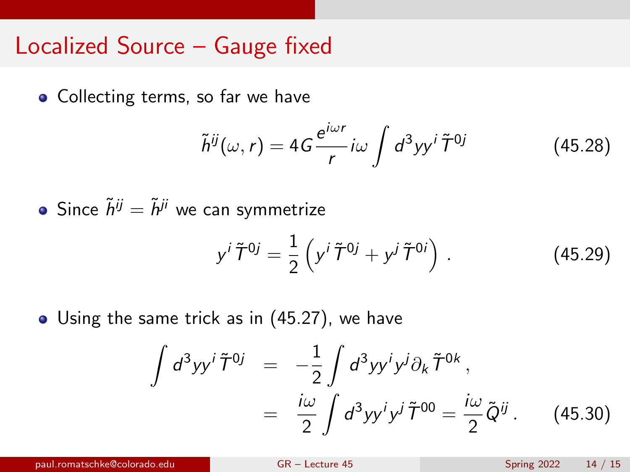#### Localized Source – Gauge fixed

• Collecting terms, so far we have

<span id="page-13-0"></span>
$$
\tilde{h}^{ij}(\omega, r) = 4G \frac{e^{i\omega r}}{r} i\omega \int d^3yy^i \tilde{T}^{0j}
$$
 (45.28)

• Since  $\tilde{h}^{ij} = \tilde{h}^{ji}$  we can symmetrize

$$
y^{i}\tilde{T}^{0j} = \frac{1}{2}\left(y^{i}\tilde{T}^{0j} + y^{j}\tilde{T}^{0i}\right).
$$
 (45.29)

• Using the same trick as in [\(45.27\)](#page-12-0), we have

$$
\int d^3yy' \tilde{T}^{0j} = -\frac{1}{2} \int d^3yy' y^j \partial_k \tilde{T}^{0k},
$$

$$
= \frac{i\omega}{2} \int d^3yy' y^j \tilde{T}^{00} = \frac{i\omega}{2} \tilde{Q}^{ij}. \qquad (45.30)
$$